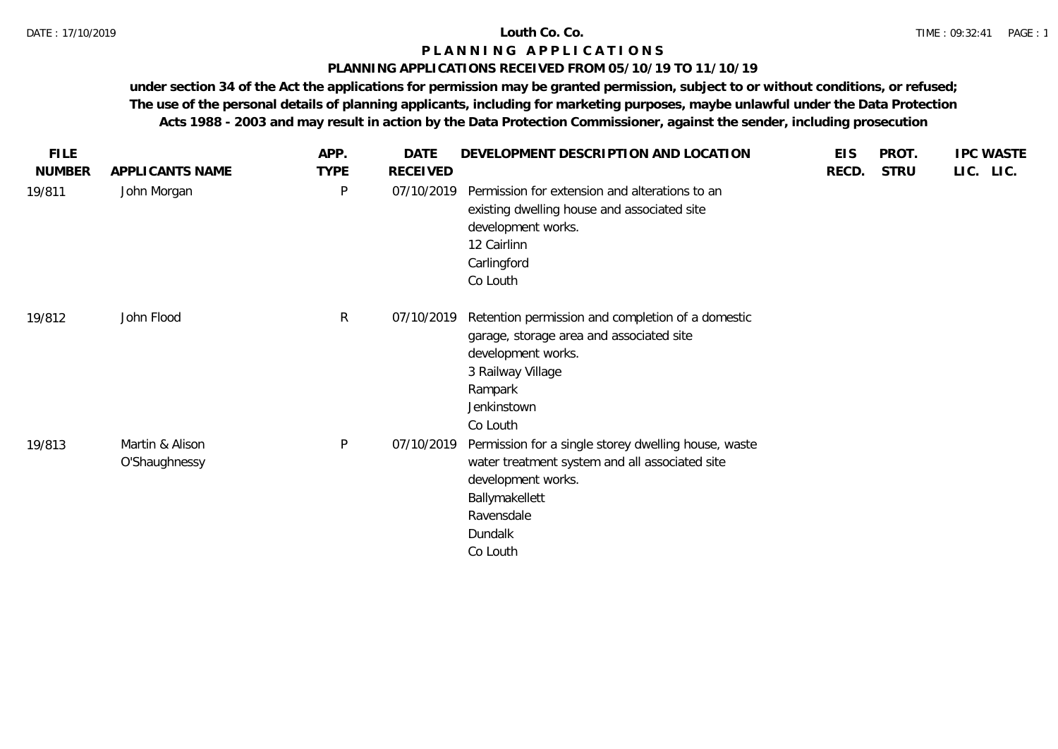### **PLANNING APPLICATIONS RECEIVED FROM 05/10/19 TO 11/10/19**

| APPLICANTS NAME                  |              |          |                                                                                                                                                                                     |                                        |             |           |
|----------------------------------|--------------|----------|-------------------------------------------------------------------------------------------------------------------------------------------------------------------------------------|----------------------------------------|-------------|-----------|
|                                  | <b>TYPE</b>  | RECEIVED |                                                                                                                                                                                     | RECD.                                  | <b>STRU</b> | LIC. LIC. |
| John Morgan                      | P            |          | Permission for extension and alterations to an<br>existing dwelling house and associated site<br>development works.<br>12 Cairlinn<br>Carlingford<br>Co Louth                       |                                        |             |           |
| John Flood                       | $\mathsf{R}$ |          | Retention permission and completion of a domestic<br>garage, storage area and associated site<br>development works.<br>3 Railway Village<br>Rampark<br>Jenkinstown<br>Co Louth      |                                        |             |           |
| Martin & Alison<br>O'Shaughnessy | P            |          | Permission for a single storey dwelling house, waste<br>water treatment system and all associated site<br>development works.<br>Ballymakellett<br>Ravensdale<br>Dundalk<br>Co Louth |                                        |             |           |
|                                  |              |          |                                                                                                                                                                                     | 07/10/2019<br>07/10/2019<br>07/10/2019 |             |           |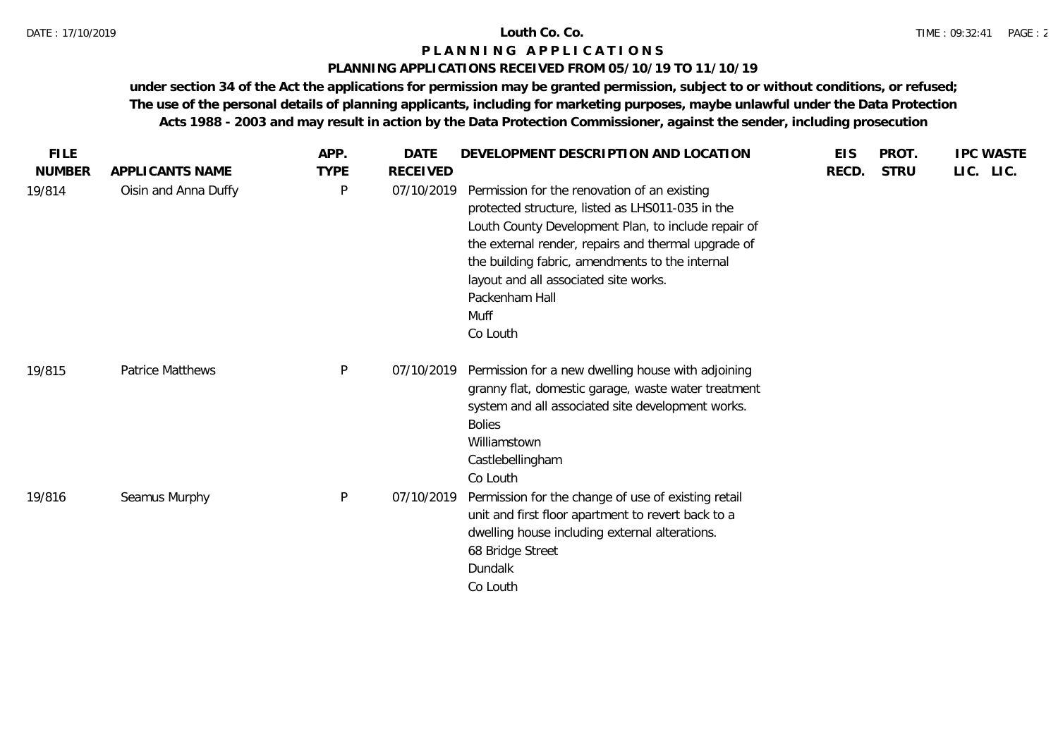## **PLANNING APPLICATIONS RECEIVED FROM 05/10/19 TO 11/10/19**

| <b>FILE</b>   |                         | APP.         | <b>DATE</b>     | DEVELOPMENT DESCRIPTION AND LOCATION                                                                                                                                                                                                                                                                                                             | <b>EIS</b> | PROT.       | <b>IPC WASTE</b> |
|---------------|-------------------------|--------------|-----------------|--------------------------------------------------------------------------------------------------------------------------------------------------------------------------------------------------------------------------------------------------------------------------------------------------------------------------------------------------|------------|-------------|------------------|
| <b>NUMBER</b> | APPLICANTS NAME         | <b>TYPE</b>  | <b>RECEIVED</b> |                                                                                                                                                                                                                                                                                                                                                  | RECD.      | <b>STRU</b> | LIC. LIC.        |
| 19/814        | Oisin and Anna Duffy    | P            | 07/10/2019      | Permission for the renovation of an existing<br>protected structure, listed as LHS011-035 in the<br>Louth County Development Plan, to include repair of<br>the external render, repairs and thermal upgrade of<br>the building fabric, amendments to the internal<br>layout and all associated site works.<br>Packenham Hall<br>Muff<br>Co Louth |            |             |                  |
| 19/815        | <b>Patrice Matthews</b> | $\mathsf{P}$ | 07/10/2019      | Permission for a new dwelling house with adjoining<br>granny flat, domestic garage, waste water treatment<br>system and all associated site development works.<br><b>Bolies</b><br>Williamstown<br>Castlebellingham<br>Co Louth                                                                                                                  |            |             |                  |
| 19/816        | Seamus Murphy           | $\mathsf{P}$ | 07/10/2019      | Permission for the change of use of existing retail<br>unit and first floor apartment to revert back to a<br>dwelling house including external alterations.<br>68 Bridge Street<br>Dundalk<br>Co Louth                                                                                                                                           |            |             |                  |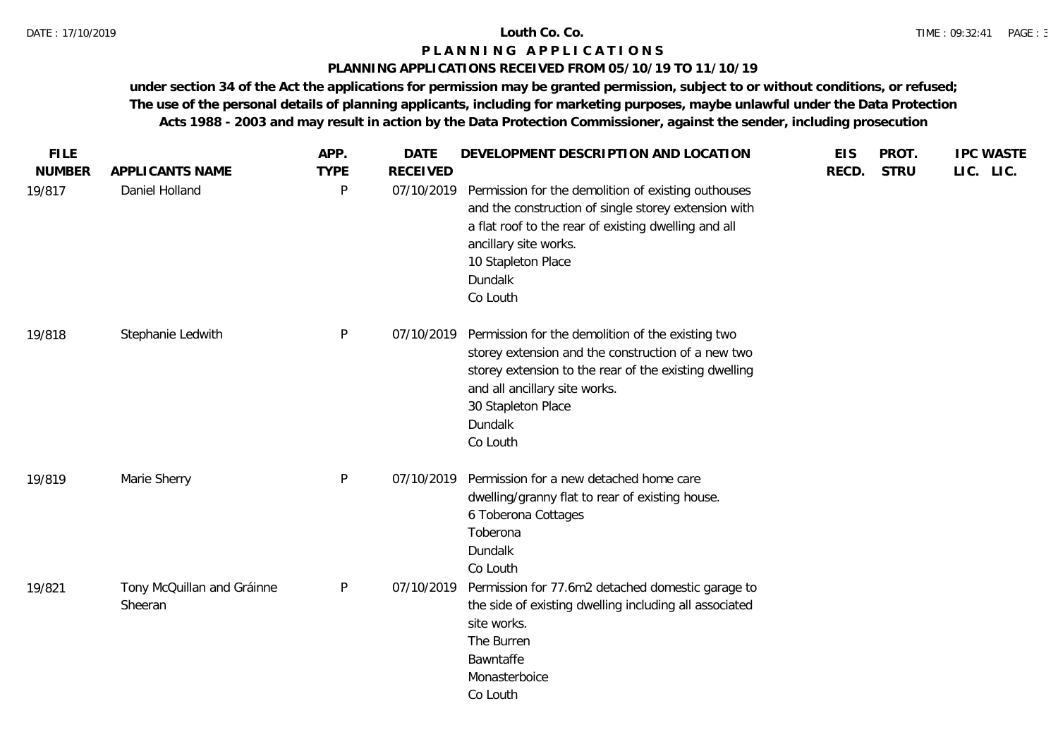## **PLANNING APPLICATIONS RECEIVED FROM 05/10/19 TO 11/10/19**

| <b>FILE</b><br><b>NUMBER</b> | APPLICANTS NAME                       | APP.<br><b>TYPE</b> | <b>DATE</b><br><b>RECEIVED</b> | DEVELOPMENT DESCRIPTION AND LOCATION                                                                                                                                                                                                           | <b>EIS</b><br>RECD. | PROT.<br><b>STRU</b> | <b>IPC WASTE</b><br>LIC. LIC. |
|------------------------------|---------------------------------------|---------------------|--------------------------------|------------------------------------------------------------------------------------------------------------------------------------------------------------------------------------------------------------------------------------------------|---------------------|----------------------|-------------------------------|
| 19/817                       | Daniel Holland                        | P                   | 07/10/2019                     | Permission for the demolition of existing outhouses<br>and the construction of single storey extension with<br>a flat roof to the rear of existing dwelling and all<br>ancillary site works.<br>10 Stapleton Place<br>Dundalk<br>Co Louth      |                     |                      |                               |
| 19/818                       | Stephanie Ledwith                     | P                   | 07/10/2019                     | Permission for the demolition of the existing two<br>storey extension and the construction of a new two<br>storey extension to the rear of the existing dwelling<br>and all ancillary site works.<br>30 Stapleton Place<br>Dundalk<br>Co Louth |                     |                      |                               |
| 19/819                       | Marie Sherry                          | $\mathsf{P}$        | 07/10/2019                     | Permission for a new detached home care<br>dwelling/granny flat to rear of existing house.<br>6 Toberona Cottages<br>Toberona<br>Dundalk<br>Co Louth                                                                                           |                     |                      |                               |
| 19/821                       | Tony McQuillan and Gráinne<br>Sheeran | P                   | 07/10/2019                     | Permission for 77.6m2 detached domestic garage to<br>the side of existing dwelling including all associated<br>site works.<br>The Burren<br>Bawntaffe<br>Monasterboice<br>Co Louth                                                             |                     |                      |                               |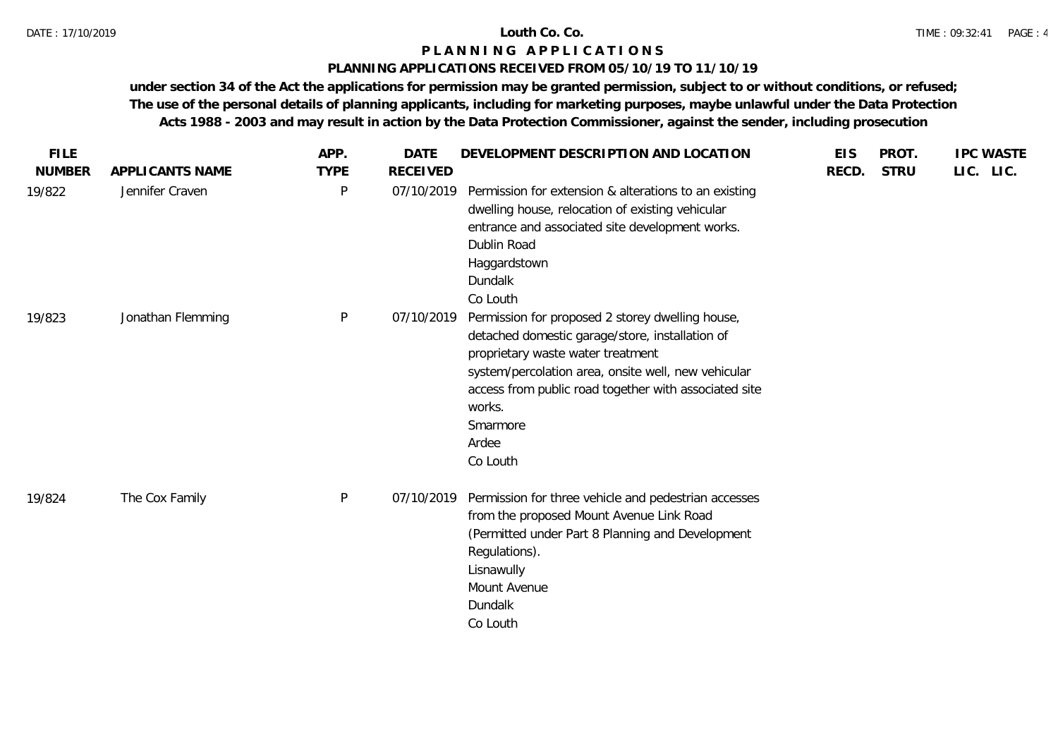## **PLANNING APPLICATIONS RECEIVED FROM 05/10/19 TO 11/10/19**

| <b>FILE</b>   |                   | APP.         | <b>DATE</b>     | DEVELOPMENT DESCRIPTION AND LOCATION                                                                                                                                                                                                                                                                | <b>EIS</b> | PROT.       | <b>IPC WASTE</b> |
|---------------|-------------------|--------------|-----------------|-----------------------------------------------------------------------------------------------------------------------------------------------------------------------------------------------------------------------------------------------------------------------------------------------------|------------|-------------|------------------|
| <b>NUMBER</b> | APPLICANTS NAME   | <b>TYPE</b>  | <b>RECEIVED</b> |                                                                                                                                                                                                                                                                                                     | RECD.      | <b>STRU</b> | LIC. LIC.        |
| 19/822        | Jennifer Craven   | $\mathsf{P}$ | 07/10/2019      | Permission for extension & alterations to an existing<br>dwelling house, relocation of existing vehicular<br>entrance and associated site development works.<br>Dublin Road<br>Haggardstown<br>Dundalk<br>Co Louth                                                                                  |            |             |                  |
| 19/823        | Jonathan Flemming | P            | 07/10/2019      | Permission for proposed 2 storey dwelling house,<br>detached domestic garage/store, installation of<br>proprietary waste water treatment<br>system/percolation area, onsite well, new vehicular<br>access from public road together with associated site<br>works.<br>Smarmore<br>Ardee<br>Co Louth |            |             |                  |
| 19/824        | The Cox Family    | P            | 07/10/2019      | Permission for three vehicle and pedestrian accesses<br>from the proposed Mount Avenue Link Road<br>(Permitted under Part 8 Planning and Development<br>Regulations).<br>Lisnawully<br>Mount Avenue<br>Dundalk<br>Co Louth                                                                          |            |             |                  |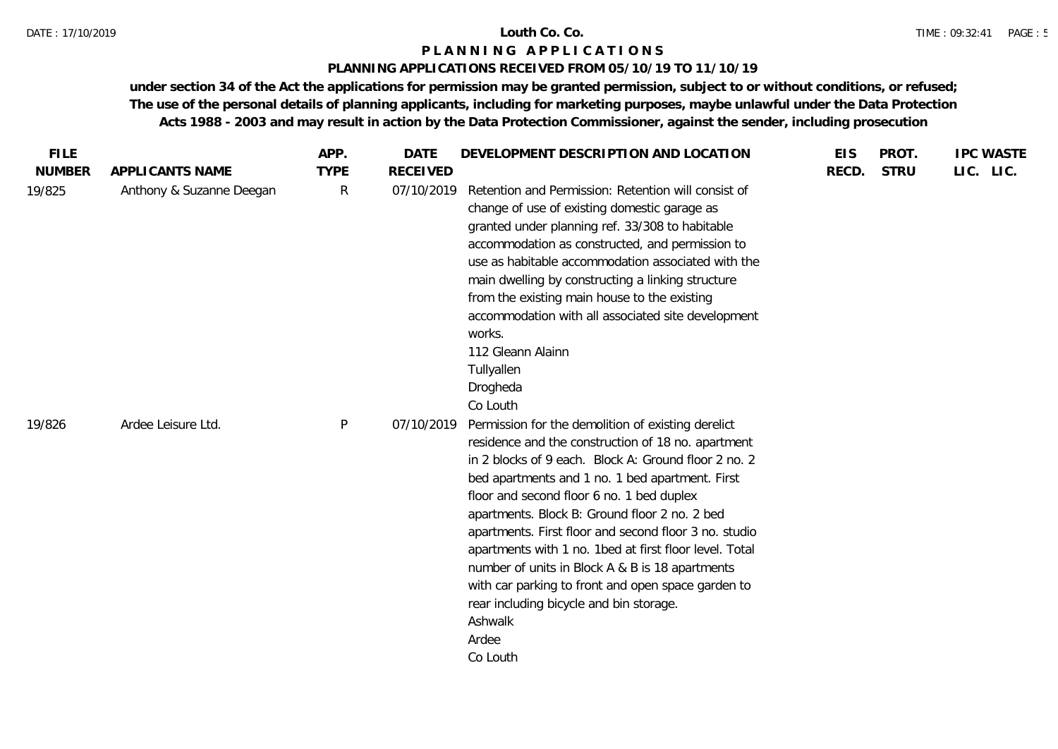## **PLANNING APPLICATIONS RECEIVED FROM 05/10/19 TO 11/10/19**

| <b>FILE</b>   |                          | APP.         | <b>DATE</b>     | DEVELOPMENT DESCRIPTION AND LOCATION                                                                                                                                                                                                                                                                                                                                                                                                                                                                                                                                                                                     | <b>EIS</b> | PROT.       | <b>IPC WASTE</b> |
|---------------|--------------------------|--------------|-----------------|--------------------------------------------------------------------------------------------------------------------------------------------------------------------------------------------------------------------------------------------------------------------------------------------------------------------------------------------------------------------------------------------------------------------------------------------------------------------------------------------------------------------------------------------------------------------------------------------------------------------------|------------|-------------|------------------|
| <b>NUMBER</b> | APPLICANTS NAME          | <b>TYPE</b>  | <b>RECEIVED</b> |                                                                                                                                                                                                                                                                                                                                                                                                                                                                                                                                                                                                                          | RECD.      | <b>STRU</b> | LIC. LIC.        |
| 19/825        | Anthony & Suzanne Deegan | R            | 07/10/2019      | Retention and Permission: Retention will consist of<br>change of use of existing domestic garage as<br>granted under planning ref. 33/308 to habitable<br>accommodation as constructed, and permission to<br>use as habitable accommodation associated with the<br>main dwelling by constructing a linking structure<br>from the existing main house to the existing<br>accommodation with all associated site development<br>works.<br>112 Gleann Alainn<br>Tullyallen<br>Drogheda<br>Co Louth                                                                                                                          |            |             |                  |
| 19/826        | Ardee Leisure Ltd.       | $\mathsf{P}$ | 07/10/2019      | Permission for the demolition of existing derelict<br>residence and the construction of 18 no. apartment<br>in 2 blocks of 9 each. Block A: Ground floor 2 no. 2<br>bed apartments and 1 no. 1 bed apartment. First<br>floor and second floor 6 no. 1 bed duplex<br>apartments. Block B: Ground floor 2 no. 2 bed<br>apartments. First floor and second floor 3 no. studio<br>apartments with 1 no. 1bed at first floor level. Total<br>number of units in Block A & B is 18 apartments<br>with car parking to front and open space garden to<br>rear including bicycle and bin storage.<br>Ashwalk<br>Ardee<br>Co Louth |            |             |                  |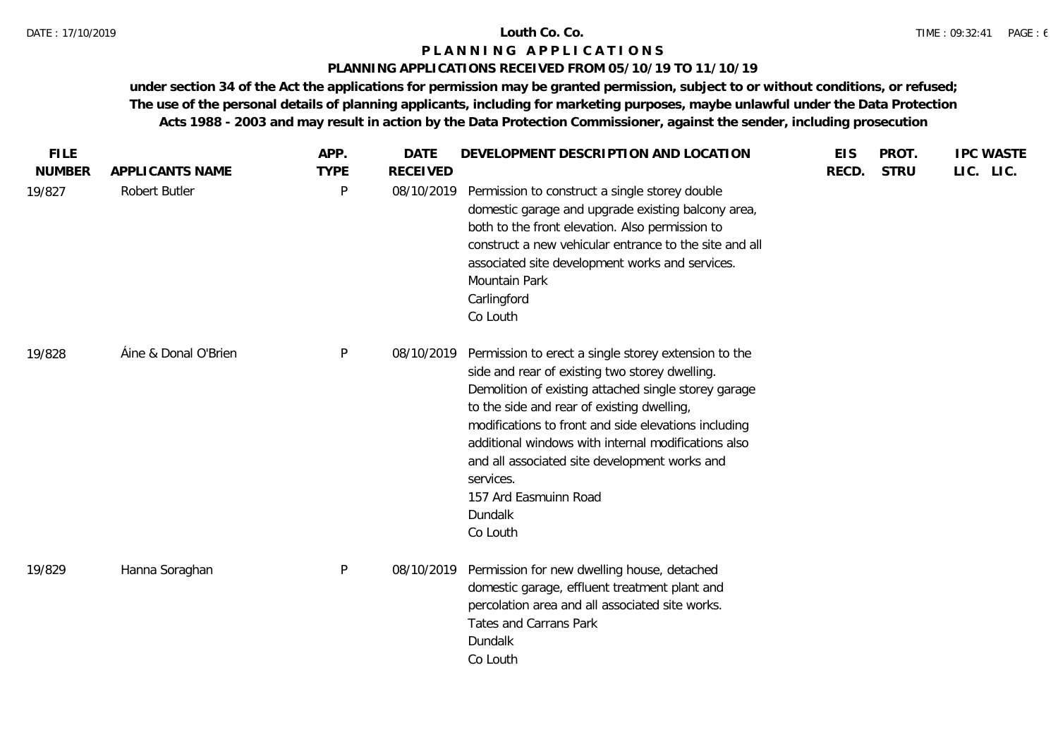### **PLANNING APPLICATIONS RECEIVED FROM 05/10/19 TO 11/10/19**

| <b>FILE</b>   |                      | APP.        | <b>DATE</b>     | DEVELOPMENT DESCRIPTION AND LOCATION                                                                                                                                                                                                                                                                                                                                                                                                      | <b>EIS</b> | PROT.       | <b>IPC WASTE</b> |
|---------------|----------------------|-------------|-----------------|-------------------------------------------------------------------------------------------------------------------------------------------------------------------------------------------------------------------------------------------------------------------------------------------------------------------------------------------------------------------------------------------------------------------------------------------|------------|-------------|------------------|
| <b>NUMBER</b> | APPLICANTS NAME      | <b>TYPE</b> | <b>RECEIVED</b> |                                                                                                                                                                                                                                                                                                                                                                                                                                           | RECD.      | <b>STRU</b> | LIC. LIC.        |
| 19/827        | Robert Butler        | P           | 08/10/2019      | Permission to construct a single storey double<br>domestic garage and upgrade existing balcony area,<br>both to the front elevation. Also permission to<br>construct a new vehicular entrance to the site and all<br>associated site development works and services.<br>Mountain Park<br>Carlingford<br>Co Louth                                                                                                                          |            |             |                  |
| 19/828        | Áine & Donal O'Brien | P           | 08/10/2019      | Permission to erect a single storey extension to the<br>side and rear of existing two storey dwelling.<br>Demolition of existing attached single storey garage<br>to the side and rear of existing dwelling,<br>modifications to front and side elevations including<br>additional windows with internal modifications also<br>and all associated site development works and<br>services.<br>157 Ard Easmuinn Road<br>Dundalk<br>Co Louth |            |             |                  |
| 19/829        | Hanna Soraghan       | P           | 08/10/2019      | Permission for new dwelling house, detached<br>domestic garage, effluent treatment plant and<br>percolation area and all associated site works.<br>Tates and Carrans Park<br>Dundalk<br>Co Louth                                                                                                                                                                                                                                          |            |             |                  |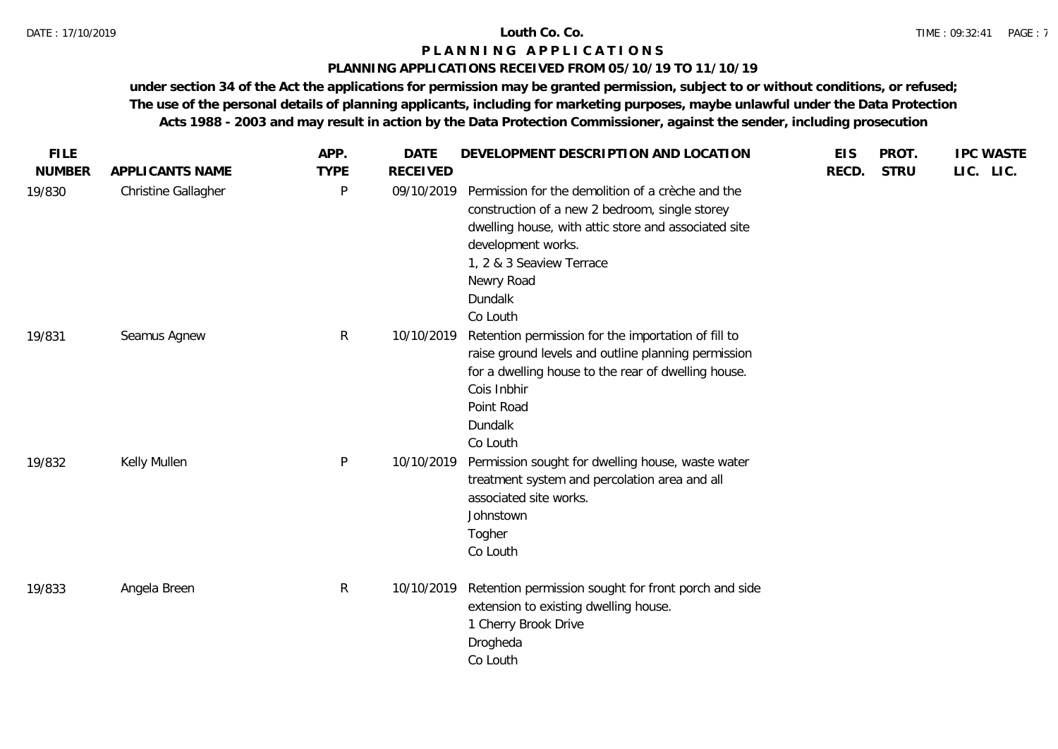## **PLANNING APPLICATIONS RECEIVED FROM 05/10/19 TO 11/10/19**

| <b>FILE</b>   |                     | APP.         | <b>DATE</b>     | DEVELOPMENT DESCRIPTION AND LOCATION                                                                                                                                                                                                               | <b>EIS</b> | PROT.       | <b>IPC WASTE</b> |  |
|---------------|---------------------|--------------|-----------------|----------------------------------------------------------------------------------------------------------------------------------------------------------------------------------------------------------------------------------------------------|------------|-------------|------------------|--|
| <b>NUMBER</b> | APPLICANTS NAME     | <b>TYPE</b>  | <b>RECEIVED</b> |                                                                                                                                                                                                                                                    | RECD.      | <b>STRU</b> | LIC. LIC.        |  |
| 19/830        | Christine Gallagher | $\mathsf{P}$ | 09/10/2019      | Permission for the demolition of a crèche and the<br>construction of a new 2 bedroom, single storey<br>dwelling house, with attic store and associated site<br>development works.<br>1, 2 & 3 Seaview Terrace<br>Newry Road<br>Dundalk<br>Co Louth |            |             |                  |  |
| 19/831        | Seamus Agnew        | $\mathsf{R}$ | 10/10/2019      | Retention permission for the importation of fill to<br>raise ground levels and outline planning permission<br>for a dwelling house to the rear of dwelling house.<br>Cois Inbhir<br>Point Road<br>Dundalk<br>Co Louth                              |            |             |                  |  |
| 19/832        | Kelly Mullen        | $\mathsf{P}$ | 10/10/2019      | Permission sought for dwelling house, waste water<br>treatment system and percolation area and all<br>associated site works.<br>Johnstown<br>Togher<br>Co Louth                                                                                    |            |             |                  |  |
| 19/833        | Angela Breen        | $\mathsf{R}$ | 10/10/2019      | Retention permission sought for front porch and side<br>extension to existing dwelling house.<br>1 Cherry Brook Drive<br>Drogheda<br>Co Louth                                                                                                      |            |             |                  |  |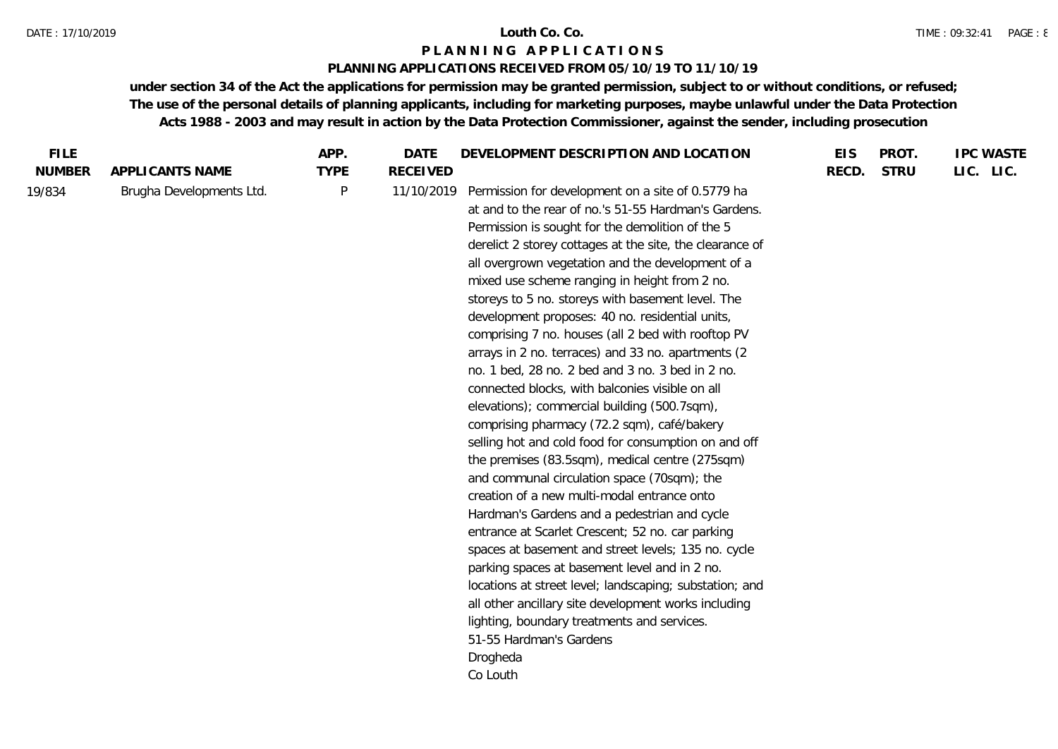## **PLANNING APPLICATIONS RECEIVED FROM 05/10/19 TO 11/10/19**

| <b>FILE</b>   |                          | APP.        | DATE            | DEVELOPMENT DESCRIPTION AND LOCATION                     | <b>EIS</b> | PROT.       | <b>IPC WASTE</b> |
|---------------|--------------------------|-------------|-----------------|----------------------------------------------------------|------------|-------------|------------------|
| <b>NUMBER</b> | APPLICANTS NAME          | <b>TYPE</b> | <b>RECEIVED</b> |                                                          | RECD.      | <b>STRU</b> | LIC. LIC.        |
| 19/834        | Brugha Developments Ltd. | $\sf P$     | 11/10/2019      | Permission for development on a site of 0.5779 ha        |            |             |                  |
|               |                          |             |                 | at and to the rear of no.'s 51-55 Hardman's Gardens.     |            |             |                  |
|               |                          |             |                 | Permission is sought for the demolition of the 5         |            |             |                  |
|               |                          |             |                 | derelict 2 storey cottages at the site, the clearance of |            |             |                  |
|               |                          |             |                 | all overgrown vegetation and the development of a        |            |             |                  |
|               |                          |             |                 | mixed use scheme ranging in height from 2 no.            |            |             |                  |
|               |                          |             |                 | storeys to 5 no. storeys with basement level. The        |            |             |                  |
|               |                          |             |                 | development proposes: 40 no. residential units,          |            |             |                  |
|               |                          |             |                 | comprising 7 no. houses (all 2 bed with rooftop PV       |            |             |                  |
|               |                          |             |                 | arrays in 2 no. terraces) and 33 no. apartments (2       |            |             |                  |
|               |                          |             |                 | no. 1 bed, 28 no. 2 bed and 3 no. 3 bed in 2 no.         |            |             |                  |
|               |                          |             |                 | connected blocks, with balconies visible on all          |            |             |                  |
|               |                          |             |                 | elevations); commercial building (500.7sqm),             |            |             |                  |
|               |                          |             |                 | comprising pharmacy (72.2 sqm), café/bakery              |            |             |                  |
|               |                          |             |                 | selling hot and cold food for consumption on and off     |            |             |                  |
|               |                          |             |                 | the premises (83.5sqm), medical centre (275sqm)          |            |             |                  |
|               |                          |             |                 | and communal circulation space (70sqm); the              |            |             |                  |
|               |                          |             |                 | creation of a new multi-modal entrance onto              |            |             |                  |
|               |                          |             |                 | Hardman's Gardens and a pedestrian and cycle             |            |             |                  |
|               |                          |             |                 | entrance at Scarlet Crescent; 52 no. car parking         |            |             |                  |
|               |                          |             |                 | spaces at basement and street levels; 135 no. cycle      |            |             |                  |
|               |                          |             |                 | parking spaces at basement level and in 2 no.            |            |             |                  |
|               |                          |             |                 | locations at street level; landscaping; substation; and  |            |             |                  |
|               |                          |             |                 | all other ancillary site development works including     |            |             |                  |
|               |                          |             |                 | lighting, boundary treatments and services.              |            |             |                  |
|               |                          |             |                 | 51-55 Hardman's Gardens                                  |            |             |                  |
|               |                          |             |                 | Drogheda                                                 |            |             |                  |
|               |                          |             |                 | Co Louth                                                 |            |             |                  |
|               |                          |             |                 |                                                          |            |             |                  |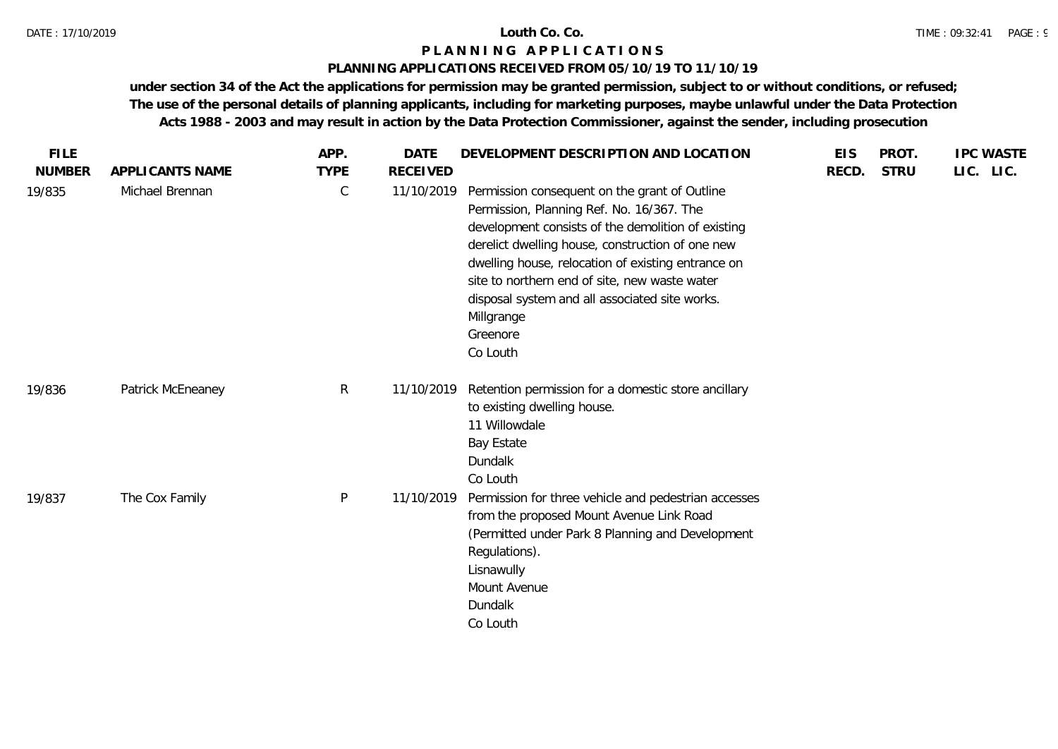### **PLANNING APPLICATIONS RECEIVED FROM 05/10/19 TO 11/10/19**

| <b>FILE</b><br><b>NUMBER</b> | APPLICANTS NAME   | APP.<br><b>TYPE</b> | <b>DATE</b><br><b>RECEIVED</b> | DEVELOPMENT DESCRIPTION AND LOCATION                                                                                                                                                                                                                                                                                                                                                                | <b>EIS</b><br>RECD. | PROT.<br><b>STRU</b> | <b>IPC WASTE</b><br>LIC. LIC. |
|------------------------------|-------------------|---------------------|--------------------------------|-----------------------------------------------------------------------------------------------------------------------------------------------------------------------------------------------------------------------------------------------------------------------------------------------------------------------------------------------------------------------------------------------------|---------------------|----------------------|-------------------------------|
| 19/835                       | Michael Brennan   | $\mathsf C$         | 11/10/2019                     | Permission consequent on the grant of Outline<br>Permission, Planning Ref. No. 16/367. The<br>development consists of the demolition of existing<br>derelict dwelling house, construction of one new<br>dwelling house, relocation of existing entrance on<br>site to northern end of site, new waste water<br>disposal system and all associated site works.<br>Millgrange<br>Greenore<br>Co Louth |                     |                      |                               |
| 19/836                       | Patrick McEneaney | R                   | 11/10/2019                     | Retention permission for a domestic store ancillary<br>to existing dwelling house.<br>11 Willowdale<br><b>Bay Estate</b><br>Dundalk<br>Co Louth                                                                                                                                                                                                                                                     |                     |                      |                               |
| 19/837                       | The Cox Family    | ${\sf P}$           | 11/10/2019                     | Permission for three vehicle and pedestrian accesses<br>from the proposed Mount Avenue Link Road<br>(Permitted under Park 8 Planning and Development<br>Regulations).<br>Lisnawully<br>Mount Avenue<br>Dundalk<br>Co Louth                                                                                                                                                                          |                     |                      |                               |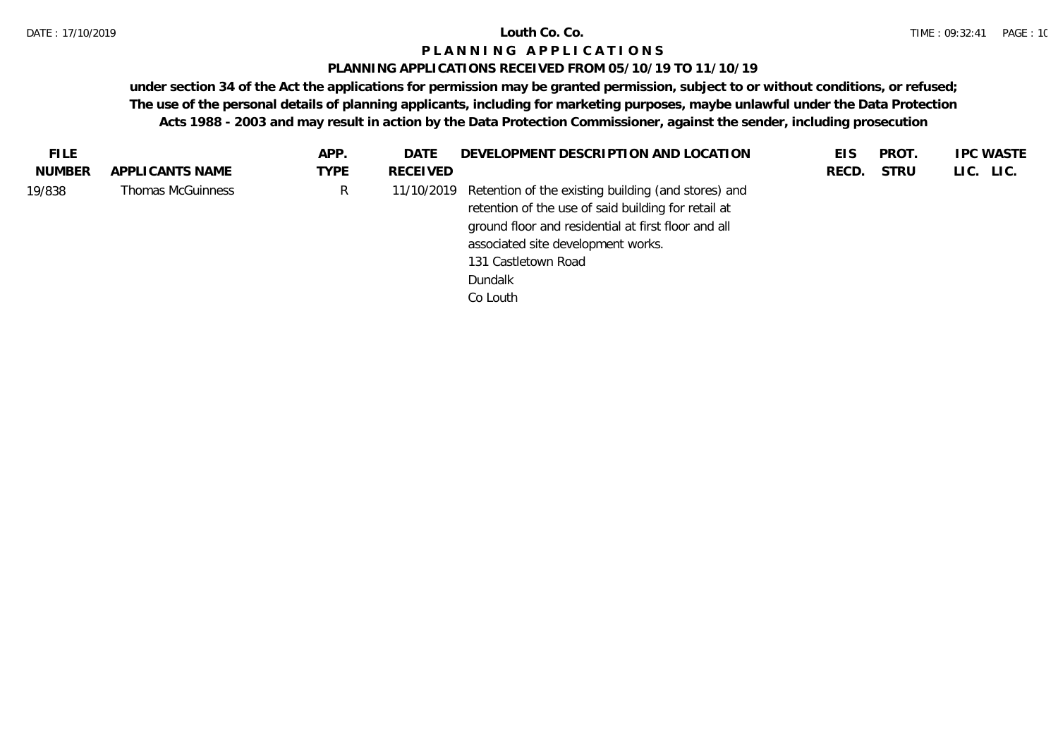## **PLANNING APPLICATIONS RECEIVED FROM 05/10/19 TO 11/10/19**

| <b>FILE</b> |                   | APP.        | DATE       | DEVELOPMENT DESCRIPTION AND LOCATION                                                                                                                              | EIS   | PROT. | <b>IPC WASTE</b> |
|-------------|-------------------|-------------|------------|-------------------------------------------------------------------------------------------------------------------------------------------------------------------|-------|-------|------------------|
| NUMBER      | APPLI CANTS NAME  | <b>TYPE</b> | RECEIVED   |                                                                                                                                                                   | RECD. | STRU  | LIC. LIC.        |
| 19/838      | Thomas McGuinness | R           | 11/10/2019 | Retention of the existing building (and stores) and<br>retention of the use of said building for retail at<br>ground floor and residential at first floor and all |       |       |                  |
|             |                   |             |            | associated site development works.                                                                                                                                |       |       |                  |
|             |                   |             |            | 131 Castletown Road                                                                                                                                               |       |       |                  |
|             |                   |             |            | Dundalk                                                                                                                                                           |       |       |                  |
|             |                   |             |            | Co Louth                                                                                                                                                          |       |       |                  |
|             |                   |             |            |                                                                                                                                                                   |       |       |                  |